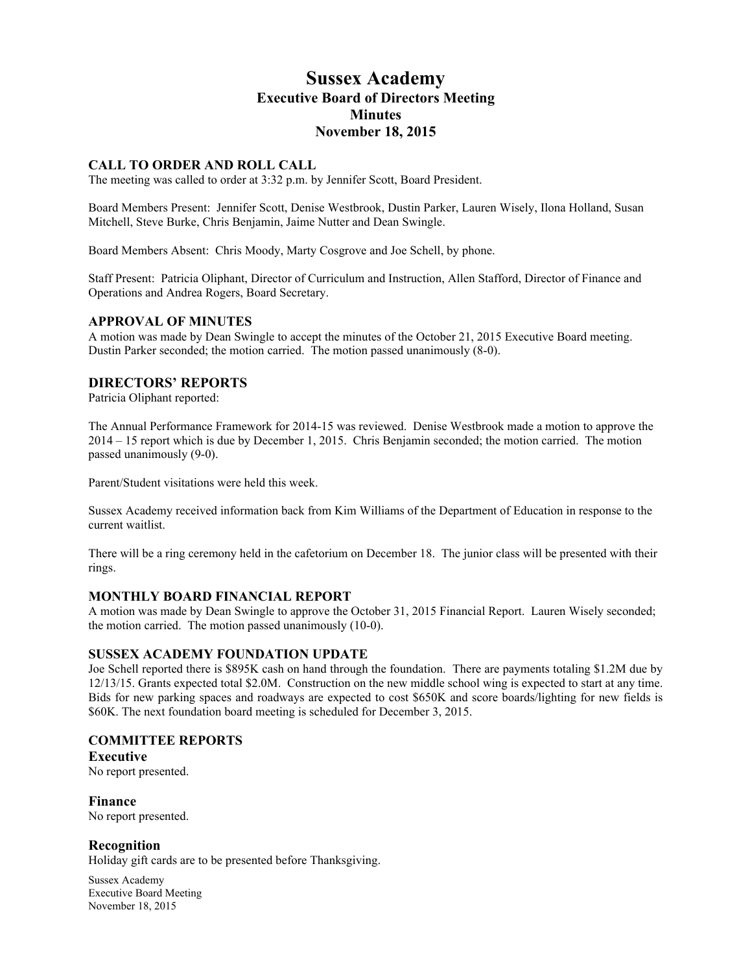# **Sussex Academy Executive Board of Directors Meeting Minutes November 18, 2015**

## **CALL TO ORDER AND ROLL CALL**

The meeting was called to order at 3:32 p.m. by Jennifer Scott, Board President.

Board Members Present: Jennifer Scott, Denise Westbrook, Dustin Parker, Lauren Wisely, Ilona Holland, Susan Mitchell, Steve Burke, Chris Benjamin, Jaime Nutter and Dean Swingle.

Board Members Absent: Chris Moody, Marty Cosgrove and Joe Schell, by phone.

Staff Present: Patricia Oliphant, Director of Curriculum and Instruction, Allen Stafford, Director of Finance and Operations and Andrea Rogers, Board Secretary.

## **APPROVAL OF MINUTES**

A motion was made by Dean Swingle to accept the minutes of the October 21, 2015 Executive Board meeting. Dustin Parker seconded; the motion carried. The motion passed unanimously (8-0).

## **DIRECTORS' REPORTS**

Patricia Oliphant reported:

The Annual Performance Framework for 2014-15 was reviewed. Denise Westbrook made a motion to approve the 2014 – 15 report which is due by December 1, 2015. Chris Benjamin seconded; the motion carried. The motion passed unanimously (9-0).

Parent/Student visitations were held this week.

Sussex Academy received information back from Kim Williams of the Department of Education in response to the current waitlist.

There will be a ring ceremony held in the cafetorium on December 18. The junior class will be presented with their rings.

## **MONTHLY BOARD FINANCIAL REPORT**

A motion was made by Dean Swingle to approve the October 31, 2015 Financial Report. Lauren Wisely seconded; the motion carried. The motion passed unanimously (10-0).

#### **SUSSEX ACADEMY FOUNDATION UPDATE**

Joe Schell reported there is \$895K cash on hand through the foundation. There are payments totaling \$1.2M due by 12/13/15. Grants expected total \$2.0M. Construction on the new middle school wing is expected to start at any time. Bids for new parking spaces and roadways are expected to cost \$650K and score boards/lighting for new fields is \$60K. The next foundation board meeting is scheduled for December 3, 2015.

## **COMMITTEE REPORTS**

**Executive**

No report presented.

**Finance** No report presented.

## **Recognition**

Holiday gift cards are to be presented before Thanksgiving.

Sussex Academy Executive Board Meeting November 18, 2015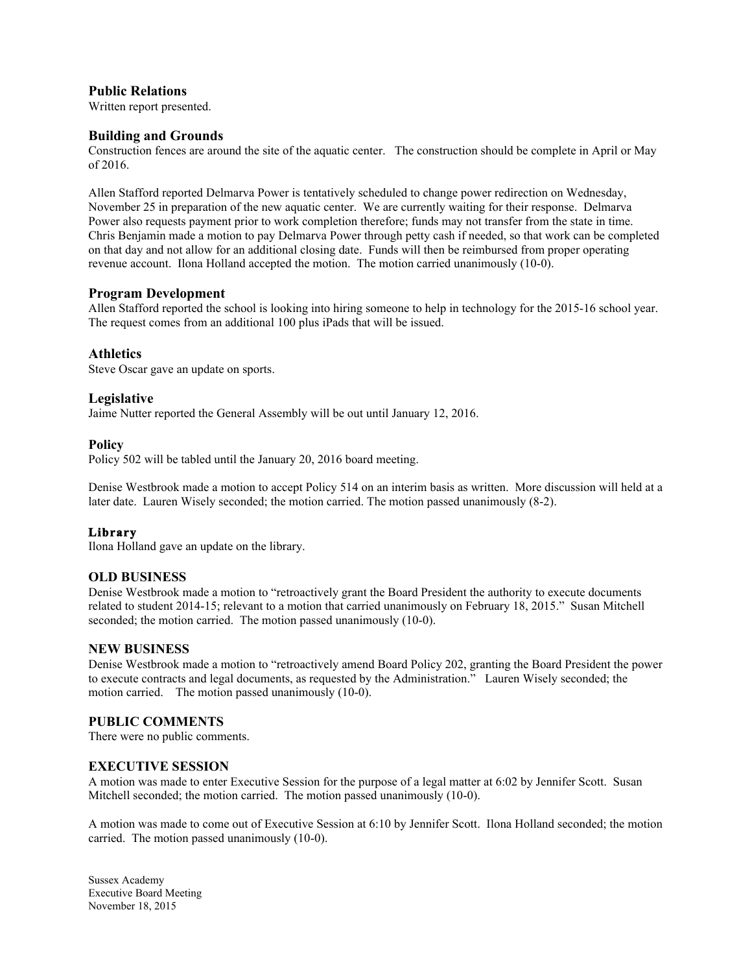## **Public Relations**

Written report presented.

## **Building and Grounds**

Construction fences are around the site of the aquatic center. The construction should be complete in April or May of 2016.

Allen Stafford reported Delmarva Power is tentatively scheduled to change power redirection on Wednesday, November 25 in preparation of the new aquatic center. We are currently waiting for their response. Delmarva Power also requests payment prior to work completion therefore; funds may not transfer from the state in time. Chris Benjamin made a motion to pay Delmarva Power through petty cash if needed, so that work can be completed on that day and not allow for an additional closing date. Funds will then be reimbursed from proper operating revenue account. Ilona Holland accepted the motion. The motion carried unanimously (10-0).

## **Program Development**

Allen Stafford reported the school is looking into hiring someone to help in technology for the 2015-16 school year. The request comes from an additional 100 plus iPads that will be issued.

## **Athletics**

Steve Oscar gave an update on sports.

## **Legislative**

Jaime Nutter reported the General Assembly will be out until January 12, 2016.

## **Policy**

Policy 502 will be tabled until the January 20, 2016 board meeting.

Denise Westbrook made a motion to accept Policy 514 on an interim basis as written. More discussion will held at a later date. Lauren Wisely seconded; the motion carried. The motion passed unanimously (8-2).

## **Library**

Ilona Holland gave an update on the library.

## **OLD BUSINESS**

Denise Westbrook made a motion to "retroactively grant the Board President the authority to execute documents related to student 2014-15; relevant to a motion that carried unanimously on February 18, 2015." Susan Mitchell seconded; the motion carried. The motion passed unanimously (10-0).

## **NEW BUSINESS**

Denise Westbrook made a motion to "retroactively amend Board Policy 202, granting the Board President the power to execute contracts and legal documents, as requested by the Administration." Lauren Wisely seconded; the motion carried. The motion passed unanimously (10-0).

## **PUBLIC COMMENTS**

There were no public comments.

## **EXECUTIVE SESSION**

A motion was made to enter Executive Session for the purpose of a legal matter at 6:02 by Jennifer Scott. Susan Mitchell seconded; the motion carried. The motion passed unanimously (10-0).

A motion was made to come out of Executive Session at 6:10 by Jennifer Scott. Ilona Holland seconded; the motion carried. The motion passed unanimously (10-0).

Sussex Academy Executive Board Meeting November 18, 2015